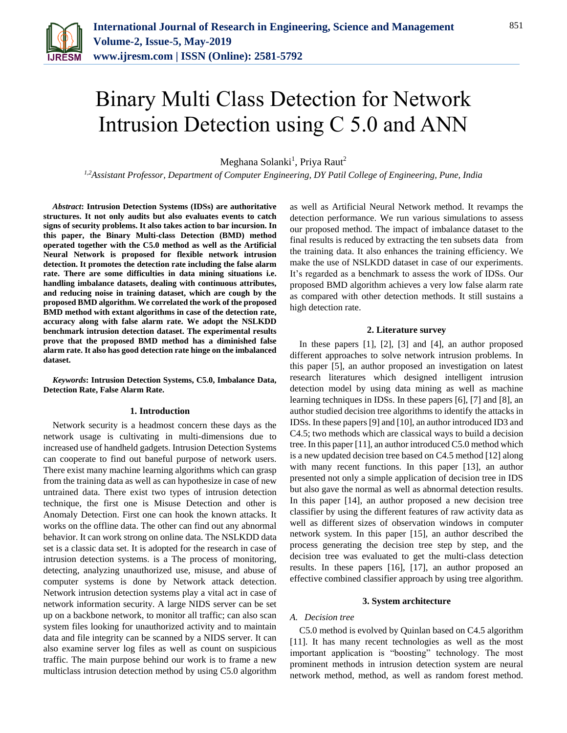

# Binary Multi Class Detection for Network Intrusion Detection using C 5.0 and ANN

Meghana Solanki<sup>1</sup>, Priya Raut<sup>2</sup>

*1,2Assistant Professor, Department of Computer Engineering, DY Patil College of Engineering, Pune, India*

*Abstract***: Intrusion Detection Systems (IDSs) are authoritative structures. It not only audits but also evaluates events to catch signs of security problems. It also takes action to bar incursion. In this paper, the Binary Multi-class Detection (BMD) method operated together with the C5.0 method as well as the Artificial Neural Network is proposed for flexible network intrusion detection. It promotes the detection rate including the false alarm rate. There are some difficulties in data mining situations i.e. handling imbalance datasets, dealing with continuous attributes, and reducing noise in training dataset, which are cough by the proposed BMD algorithm. We correlated the work of the proposed BMD method with extant algorithms in case of the detection rate, accuracy along with false alarm rate. We adopt the NSLKDD benchmark intrusion detection dataset. The experimental results prove that the proposed BMD method has a diminished false alarm rate. It also has good detection rate hinge on the imbalanced dataset.**

*Keywords***: Intrusion Detection Systems, C5.0, Imbalance Data, Detection Rate, False Alarm Rate.** 

### **1. Introduction**

Network security is a headmost concern these days as the network usage is cultivating in multi-dimensions due to increased use of handheld gadgets. Intrusion Detection Systems can cooperate to find out baneful purpose of network users. There exist many machine learning algorithms which can grasp from the training data as well as can hypothesize in case of new untrained data. There exist two types of intrusion detection technique, the first one is Misuse Detection and other is Anomaly Detection. First one can hook the known attacks. It works on the offline data. The other can find out any abnormal behavior. It can work strong on online data. The NSLKDD data set is a classic data set. It is adopted for the research in case of intrusion detection systems. is a The process of monitoring, detecting, analyzing unauthorized use, misuse, and abuse of computer systems is done by Network attack detection. Network intrusion detection systems play a vital act in case of network information security. A large NIDS server can be set up on a backbone network, to monitor all traffic; can also scan system files looking for unauthorized activity and to maintain data and file integrity can be scanned by a NIDS server. It can also examine server log files as well as count on suspicious traffic. The main purpose behind our work is to frame a new multiclass intrusion detection method by using C5.0 algorithm

as well as Artificial Neural Network method. It revamps the detection performance. We run various simulations to assess our proposed method. The impact of imbalance dataset to the final results is reduced by extracting the ten subsets data from the training data. It also enhances the training efficiency. We make the use of NSLKDD dataset in case of our experiments. It's regarded as a benchmark to assess the work of IDSs. Our proposed BMD algorithm achieves a very low false alarm rate as compared with other detection methods. It still sustains a high detection rate.

## **2. Literature survey**

In these papers [1], [2], [3] and [4], an author proposed different approaches to solve network intrusion problems. In this paper [5], an author proposed an investigation on latest research literatures which designed intelligent intrusion detection model by using data mining as well as machine learning techniques in IDSs. In these papers [6], [7] and [8], an author studied decision tree algorithms to identify the attacks in IDSs. In these papers [9] and [10], an author introduced ID3 and C4.5; two methods which are classical ways to build a decision tree. In this paper [11], an author introduced C5.0 method which is a new updated decision tree based on C4.5 method [12] along with many recent functions. In this paper [13], an author presented not only a simple application of decision tree in IDS but also gave the normal as well as abnormal detection results. In this paper [14], an author proposed a new decision tree classifier by using the different features of raw activity data as well as different sizes of observation windows in computer network system. In this paper [15], an author described the process generating the decision tree step by step, and the decision tree was evaluated to get the multi-class detection results. In these papers [16], [17], an author proposed an effective combined classifier approach by using tree algorithm.

#### **3. System architecture**

## *A. Decision tree*

C5.0 method is evolved by Quinlan based on C4.5 algorithm [11]. It has many recent technologies as well as the most important application is "boosting" technology. The most prominent methods in intrusion detection system are neural network method, method, as well as random forest method.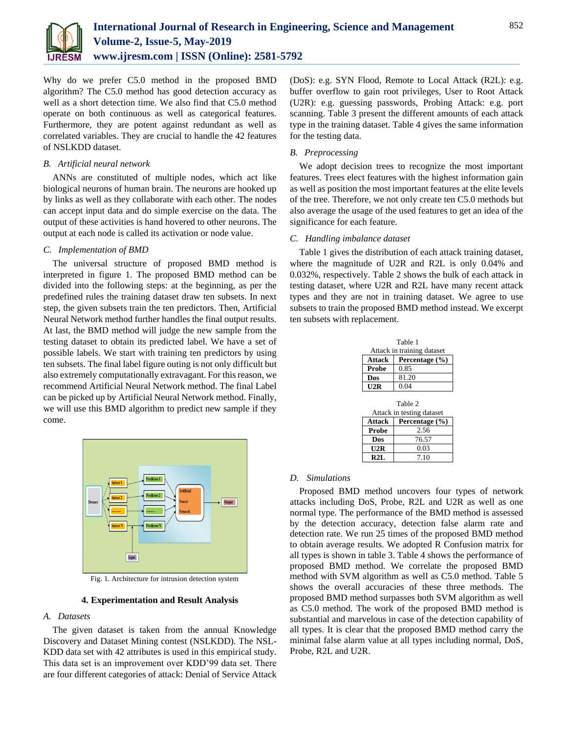

Why do we prefer C5.0 method in the proposed BMD algorithm? The C5.0 method has good detection accuracy as well as a short detection time. We also find that C5.0 method operate on both continuous as well as categorical features. Furthermore, they are potent against redundant as well as correlated variables. They are crucial to handle the 42 features of NSLKDD dataset.

## *B. Artificial neural network*

ANNs are constituted of multiple nodes, which act like biological neurons of human brain. The neurons are hooked up by links as well as they collaborate with each other. The nodes can accept input data and do simple exercise on the data. The output of these activities is hand hovered to other neurons. The output at each node is called its activation or node value.

# *C. Implementation of BMD*

The universal structure of proposed BMD method is interpreted in figure 1. The proposed BMD method can be divided into the following steps: at the beginning, as per the predefined rules the training dataset draw ten subsets. In next step, the given subsets train the ten predictors. Then, Artificial Neural Network method further handles the final output results. At last, the BMD method will judge the new sample from the testing dataset to obtain its predicted label. We have a set of possible labels. We start with training ten predictors by using ten subsets. The final label figure outing is not only difficult but also extremely computationally extravagant. For this reason, we recommend Artificial Neural Network method. The final Label can be picked up by Artificial Neural Network method. Finally, we will use this BMD algorithm to predict new sample if they come.



Fig. 1. Architecture for intrusion detection system

# **4. Experimentation and Result Analysis**

## *A. Datasets*

The given dataset is taken from the annual Knowledge Discovery and Dataset Mining contest (NSLKDD). The NSL-KDD data set with 42 attributes is used in this empirical study. This data set is an improvement over KDD'99 data set. There are four different categories of attack: Denial of Service Attack (DoS): e.g. SYN Flood, Remote to Local Attack (R2L): e.g. buffer overflow to gain root privileges, User to Root Attack (U2R): e.g. guessing passwords, Probing Attack: e.g. port scanning. Table 3 present the different amounts of each attack type in the training dataset. Table 4 gives the same information for the testing data.

# *B. Preprocessing*

We adopt decision trees to recognize the most important features. Trees elect features with the highest information gain as well as position the most important features at the elite levels of the tree. Therefore, we not only create ten C5.0 methods but also average the usage of the used features to get an idea of the significance for each feature.

## *C. Handling imbalance dataset*

Table 1 gives the distribution of each attack training dataset, where the magnitude of U2R and R2L is only 0.04% and 0.032%, respectively. Table 2 shows the bulk of each attack in testing dataset, where U2R and R2L have many recent attack types and they are not in training dataset. We agree to use subsets to train the proposed BMD method instead. We excerpt ten subsets with replacement.

| Table 1                    |                    |  |  |
|----------------------------|--------------------|--|--|
| Attack in training dataset |                    |  |  |
| <b>Attack</b>              | Percentage $(\% )$ |  |  |
| Probe                      | 0.85               |  |  |
| Dos                        | 81.20              |  |  |
| U2R                        | 0.04               |  |  |

| Table 2                   |                    |  |  |  |
|---------------------------|--------------------|--|--|--|
| Attack in testing dataset |                    |  |  |  |
| <b>Attack</b>             | Percentage $(\% )$ |  |  |  |
| Probe                     | 2.56               |  |  |  |
| Dos                       | 76.57              |  |  |  |
| U2R                       | 0.03               |  |  |  |
| R2L                       | 7.10               |  |  |  |

# *D. Simulations*

Proposed BMD method uncovers four types of network attacks including DoS, Probe, R2L and U2R as well as one normal type. The performance of the BMD method is assessed by the detection accuracy, detection false alarm rate and detection rate. We run 25 times of the proposed BMD method to obtain average results. We adopted R Confusion matrix for all types is shown in table 3. Table 4 shows the performance of proposed BMD method. We correlate the proposed BMD method with SVM algorithm as well as C5.0 method. Table 5 shows the overall accuracies of these three methods. The proposed BMD method surpasses both SVM algorithm as well as C5.0 method. The work of the proposed BMD method is substantial and marvelous in case of the detection capability of all types. It is clear that the proposed BMD method carry the minimal false alarm value at all types including normal, DoS, Probe, R2L and U2R.